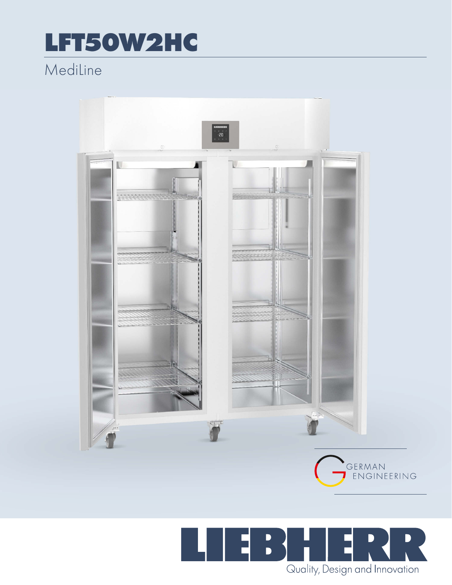## LFT50W2HC

## MediLine